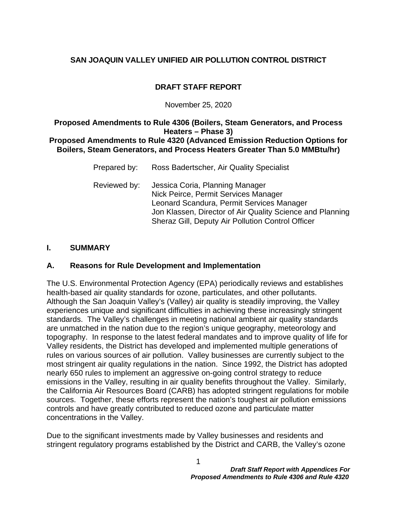# **DRAFT STAFF REPORT**

#### November 25, 2020

#### **Proposed Amendments to Rule 4306 (Boilers, Steam Generators, and Process Heaters – Phase 3) Proposed Amendments to Rule 4320 (Advanced Emission Reduction Options for Boilers, Steam Generators, and Process Heaters Greater Than 5.0 MMBtu/hr)**

| Prepared by: | Ross Badertscher, Air Quality Specialist                                                                                                                                                                                               |
|--------------|----------------------------------------------------------------------------------------------------------------------------------------------------------------------------------------------------------------------------------------|
| Reviewed by: | Jessica Coria, Planning Manager<br>Nick Peirce, Permit Services Manager<br>Leonard Scandura, Permit Services Manager<br>Jon Klassen, Director of Air Quality Science and Planning<br>Sheraz Gill, Deputy Air Pollution Control Officer |

#### **I. SUMMARY**

#### **A. Reasons for Rule Development and Implementation**

The U.S. Environmental Protection Agency (EPA) periodically reviews and establishes health-based air quality standards for ozone, particulates, and other pollutants. Although the San Joaquin Valley's (Valley) air quality is steadily improving, the Valley experiences unique and significant difficulties in achieving these increasingly stringent standards. The Valley's challenges in meeting national ambient air quality standards are unmatched in the nation due to the region's unique geography, meteorology and topography. In response to the latest federal mandates and to improve quality of life for Valley residents, the District has developed and implemented multiple generations of rules on various sources of air pollution. Valley businesses are currently subject to the most stringent air quality regulations in the nation. Since 1992, the District has adopted nearly 650 rules to implement an aggressive on-going control strategy to reduce emissions in the Valley, resulting in air quality benefits throughout the Valley. Similarly, the California Air Resources Board (CARB) has adopted stringent regulations for mobile sources. Together, these efforts represent the nation's toughest air pollution emissions controls and have greatly contributed to reduced ozone and particulate matter concentrations in the Valley.

Due to the significant investments made by Valley businesses and residents and stringent regulatory programs established by the District and CARB, the Valley's ozone

1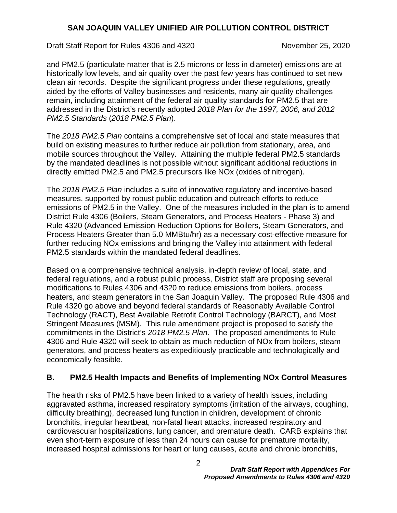Draft Staff Report for Rules 4306 and 4320 November 25, 2020

and PM2.5 (particulate matter that is 2.5 microns or less in diameter) emissions are at historically low levels, and air quality over the past few years has continued to set new clean air records. Despite the significant progress under these regulations, greatly aided by the efforts of Valley businesses and residents, many air quality challenges remain, including attainment of the federal air quality standards for PM2.5 that are addressed in the District's recently adopted *2018 Plan for the 1997, 2006, and 2012 PM2.5 Standards* (*2018 PM2.5 Plan*).

The *2018 PM2.5 Plan* contains a comprehensive set of local and state measures that build on existing measures to further reduce air pollution from stationary, area, and mobile sources throughout the Valley. Attaining the multiple federal PM2.5 standards by the mandated deadlines is not possible without significant additional reductions in directly emitted PM2.5 and PM2.5 precursors like NOx (oxides of nitrogen).

The *2018 PM2.5 Plan* includes a suite of innovative regulatory and incentive-based measures, supported by robust public education and outreach efforts to reduce emissions of PM2.5 in the Valley. One of the measures included in the plan is to amend District Rule 4306 (Boilers, Steam Generators, and Process Heaters - Phase 3) and Rule 4320 (Advanced Emission Reduction Options for Boilers, Steam Generators, and Process Heaters Greater than 5.0 MMBtu/hr) as a necessary cost-effective measure for further reducing NOx emissions and bringing the Valley into attainment with federal PM2.5 standards within the mandated federal deadlines.

Based on a comprehensive technical analysis, in-depth review of local, state, and federal regulations, and a robust public process, District staff are proposing several modifications to Rules 4306 and 4320 to reduce emissions from boilers, process heaters, and steam generators in the San Joaquin Valley. The proposed Rule 4306 and Rule 4320 go above and beyond federal standards of Reasonably Available Control Technology (RACT), Best Available Retrofit Control Technology (BARCT), and Most Stringent Measures (MSM). This rule amendment project is proposed to satisfy the commitments in the District's *2018 PM2.5 Plan*. The proposed amendments to Rule 4306 and Rule 4320 will seek to obtain as much reduction of NOx from boilers, steam generators, and process heaters as expeditiously practicable and technologically and economically feasible.

#### **B. PM2.5 Health Impacts and Benefits of Implementing NOx Control Measures**

The health risks of PM2.5 have been linked to a variety of health issues, including aggravated asthma, increased respiratory symptoms (irritation of the airways, coughing, difficulty breathing), decreased lung function in children, development of chronic bronchitis, irregular heartbeat, non-fatal heart attacks, increased respiratory and cardiovascular hospitalizations, lung cancer, and premature death. CARB explains that even short-term exposure of less than 24 hours can cause for premature mortality, increased hospital admissions for heart or lung causes, acute and chronic bronchitis,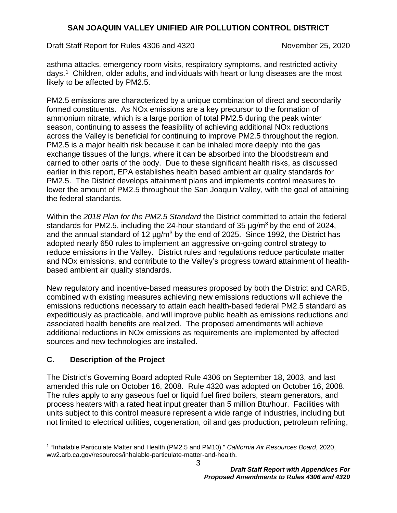Draft Staff Report for Rules 4306 and 4320 November 25, 2020

asthma attacks, emergency room visits, respiratory symptoms, and restricted activity days.[1](#page-2-0) Children, older adults, and individuals with heart or lung diseases are the most likely to be affected by PM2.5.

PM2.5 emissions are characterized by a unique combination of direct and secondarily formed constituents. As NOx emissions are a key precursor to the formation of ammonium nitrate, which is a large portion of total PM2.5 during the peak winter season, continuing to assess the feasibility of achieving additional NOx reductions across the Valley is beneficial for continuing to improve PM2.5 throughout the region. PM2.5 is a major health risk because it can be inhaled more deeply into the gas exchange tissues of the lungs, where it can be absorbed into the bloodstream and carried to other parts of the body. Due to these significant health risks, as discussed earlier in this report, EPA establishes health based ambient air quality standards for PM2.5. The District develops attainment plans and implements control measures to lower the amount of PM2.5 throughout the San Joaquin Valley, with the goal of attaining the federal standards.

Within the *2018 Plan for the PM2.5 Standard* the District committed to attain the federal standards for PM2.5, including the 24-hour standard of 35  $\mu q/m^3$  by the end of 2024, and the annual standard of 12  $\mu$ g/m<sup>3</sup> by the end of 2025. Since 1992, the District has adopted nearly 650 rules to implement an aggressive on-going control strategy to reduce emissions in the Valley. District rules and regulations reduce particulate matter and NOx emissions, and contribute to the Valley's progress toward attainment of healthbased ambient air quality standards.

New regulatory and incentive-based measures proposed by both the District and CARB, combined with existing measures achieving new emissions reductions will achieve the emissions reductions necessary to attain each health-based federal PM2.5 standard as expeditiously as practicable, and will improve public health as emissions reductions and associated health benefits are realized. The proposed amendments will achieve additional reductions in NOx emissions as requirements are implemented by affected sources and new technologies are installed.

#### **C. Description of the Project**

The District's Governing Board adopted Rule 4306 on September 18, 2003, and last amended this rule on October 16, 2008. Rule 4320 was adopted on October 16, 2008. The rules apply to any gaseous fuel or liquid fuel fired boilers, steam generators, and process heaters with a rated heat input greater than 5 million Btu/hour. Facilities with units subject to this control measure represent a wide range of industries, including but not limited to electrical utilities, cogeneration, oil and gas production, petroleum refining,

<span id="page-2-0"></span> <sup>1</sup> "Inhalable Particulate Matter and Health (PM2.5 and PM10)." *California Air Resources Board*, 2020, ww2.arb.ca.gov/resources/inhalable-particulate-matter-and-health.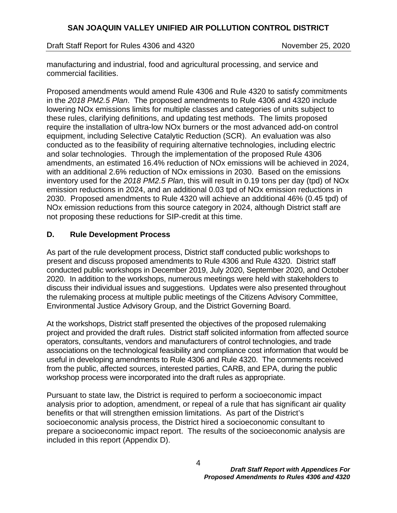Draft Staff Report for Rules 4306 and 4320 November 25, 2020

manufacturing and industrial, food and agricultural processing, and service and commercial facilities.

Proposed amendments would amend Rule 4306 and Rule 4320 to satisfy commitments in the *2018 PM2.5 Plan*. The proposed amendments to Rule 4306 and 4320 include lowering NOx emissions limits for multiple classes and categories of units subject to these rules, clarifying definitions, and updating test methods. The limits proposed require the installation of ultra-low NOx burners or the most advanced add-on control equipment, including Selective Catalytic Reduction (SCR). An evaluation was also conducted as to the feasibility of requiring alternative technologies, including electric and solar technologies. Through the implementation of the proposed Rule 4306 amendments, an estimated 16.4% reduction of NOx emissions will be achieved in 2024, with an additional 2.6% reduction of NOx emissions in 2030. Based on the emissions inventory used for the *2018 PM2.5 Plan*, this will result in 0.19 tons per day (tpd) of NOx emission reductions in 2024, and an additional 0.03 tpd of NOx emission reductions in 2030. Proposed amendments to Rule 4320 will achieve an additional 46% (0.45 tpd) of NOx emission reductions from this source category in 2024, although District staff are not proposing these reductions for SIP-credit at this time.

## **D. Rule Development Process**

As part of the rule development process, District staff conducted public workshops to present and discuss proposed amendments to Rule 4306 and Rule 4320. District staff conducted public workshops in December 2019, July 2020, September 2020, and October 2020. In addition to the workshops, numerous meetings were held with stakeholders to discuss their individual issues and suggestions. Updates were also presented throughout the rulemaking process at multiple public meetings of the Citizens Advisory Committee, Environmental Justice Advisory Group, and the District Governing Board.

At the workshops, District staff presented the objectives of the proposed rulemaking project and provided the draft rules. District staff solicited information from affected source operators, consultants, vendors and manufacturers of control technologies, and trade associations on the technological feasibility and compliance cost information that would be useful in developing amendments to Rule 4306 and Rule 4320. The comments received from the public, affected sources, interested parties, CARB, and EPA, during the public workshop process were incorporated into the draft rules as appropriate.

Pursuant to state law, the District is required to perform a socioeconomic impact analysis prior to adoption, amendment, or repeal of a rule that has significant air quality benefits or that will strengthen emission limitations. As part of the District's socioeconomic analysis process, the District hired a socioeconomic consultant to prepare a socioeconomic impact report. The results of the socioeconomic analysis are included in this report (Appendix D).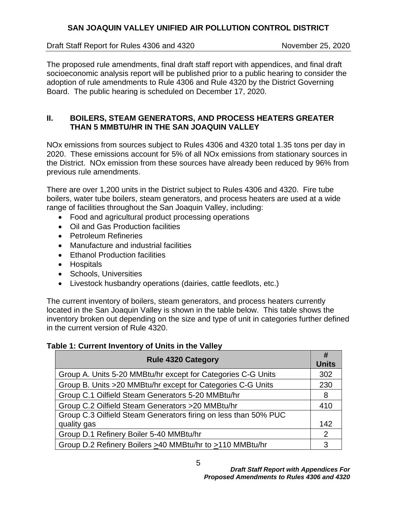Draft Staff Report for Rules 4306 and 4320 November 25, 2020

The proposed rule amendments, final draft staff report with appendices, and final draft socioeconomic analysis report will be published prior to a public hearing to consider the adoption of rule amendments to Rule 4306 and Rule 4320 by the District Governing Board. The public hearing is scheduled on December 17, 2020.

#### **II. BOILERS, STEAM GENERATORS, AND PROCESS HEATERS GREATER THAN 5 MMBTU/HR IN THE SAN JOAQUIN VALLEY**

NOx emissions from sources subject to Rules 4306 and 4320 total 1.35 tons per day in 2020. These emissions account for 5% of all NOx emissions from stationary sources in the District. NOx emission from these sources have already been reduced by 96% from previous rule amendments.

There are over 1,200 units in the District subject to Rules 4306 and 4320. Fire tube boilers, water tube boilers, steam generators, and process heaters are used at a wide range of facilities throughout the San Joaquin Valley, including:

- Food and agricultural product processing operations
- Oil and Gas Production facilities
- Petroleum Refineries
- Manufacture and industrial facilities
- Ethanol Production facilities
- Hospitals
- Schools, Universities
- Livestock husbandry operations (dairies, cattle feedlots, etc.)

The current inventory of boilers, steam generators, and process heaters currently located in the San Joaquin Valley is shown in the table below. This table shows the inventory broken out depending on the size and type of unit in categories further defined in the current version of Rule 4320.

#### **Table 1: Current Inventory of Units in the Valley**

| <b>Rule 4320 Category</b>                                       | #<br><b>Units</b> |
|-----------------------------------------------------------------|-------------------|
| Group A. Units 5-20 MMBtu/hr except for Categories C-G Units    | 302               |
| Group B. Units >20 MMBtu/hr except for Categories C-G Units     | 230               |
| Group C.1 Oilfield Steam Generators 5-20 MMBtu/hr               | 8                 |
| Group C.2 Oilfield Steam Generators > 20 MMBtu/hr               | 410               |
| Group C.3 Oilfield Steam Generators firing on less than 50% PUC |                   |
| quality gas                                                     | 142               |
| Group D.1 Refinery Boiler 5-40 MMBtu/hr                         | 2                 |
| Group D.2 Refinery Boilers >40 MMBtu/hr to >110 MMBtu/hr        | 3                 |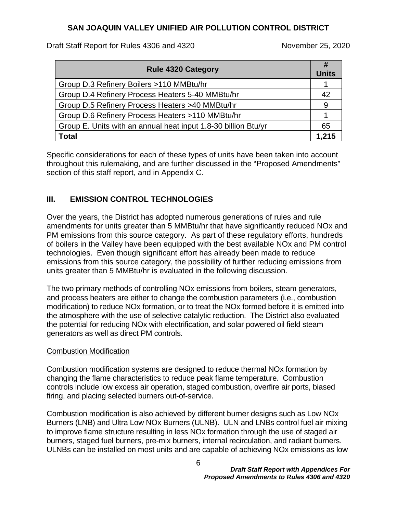#### Draft Staff Report for Rules 4306 and 4320 November 25, 2020

| <b>Rule 4320 Category</b>                                      | #<br><b>Units</b> |
|----------------------------------------------------------------|-------------------|
| Group D.3 Refinery Boilers >110 MMBtu/hr                       |                   |
| Group D.4 Refinery Process Heaters 5-40 MMBtu/hr               | 42                |
| Group D.5 Refinery Process Heaters >40 MMBtu/hr                | 9                 |
| Group D.6 Refinery Process Heaters >110 MMBtu/hr               | 1                 |
| Group E. Units with an annual heat input 1.8-30 billion Btu/yr | 65                |
| Total                                                          | 1.215             |

Specific considerations for each of these types of units have been taken into account throughout this rulemaking, and are further discussed in the "Proposed Amendments" section of this staff report, and in Appendix C.

## **III. EMISSION CONTROL TECHNOLOGIES**

Over the years, the District has adopted numerous generations of rules and rule amendments for units greater than 5 MMBtu/hr that have significantly reduced NOx and PM emissions from this source category. As part of these regulatory efforts, hundreds of boilers in the Valley have been equipped with the best available NOx and PM control technologies. Even though significant effort has already been made to reduce emissions from this source category, the possibility of further reducing emissions from units greater than 5 MMBtu/hr is evaluated in the following discussion.

The two primary methods of controlling NOx emissions from boilers, steam generators, and process heaters are either to change the combustion parameters (i.e., combustion modification) to reduce NOx formation, or to treat the NOx formed before it is emitted into the atmosphere with the use of selective catalytic reduction. The District also evaluated the potential for reducing NOx with electrification, and solar powered oil field steam generators as well as direct PM controls.

#### Combustion Modification

Combustion modification systems are designed to reduce thermal NOx formation by changing the flame characteristics to reduce peak flame temperature. Combustion controls include low excess air operation, staged combustion, overfire air ports, biased firing, and placing selected burners out-of-service.

Combustion modification is also achieved by different burner designs such as Low NOx Burners (LNB) and Ultra Low NOx Burners (ULNB). ULN and LNBs control fuel air mixing to improve flame structure resulting in less NOx formation through the use of staged air burners, staged fuel burners, pre-mix burners, internal recirculation, and radiant burners. ULNBs can be installed on most units and are capable of achieving NOx emissions as low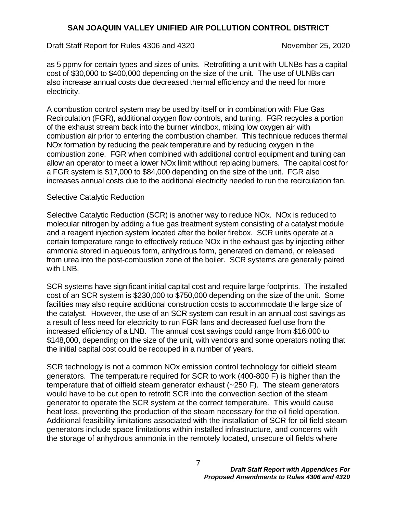Draft Staff Report for Rules 4306 and 4320 November 25, 2020

as 5 ppmv for certain types and sizes of units. Retrofitting a unit with ULNBs has a capital cost of \$30,000 to \$400,000 depending on the size of the unit. The use of ULNBs can also increase annual costs due decreased thermal efficiency and the need for more electricity.

A combustion control system may be used by itself or in combination with Flue Gas Recirculation (FGR), additional oxygen flow controls, and tuning. FGR recycles a portion of the exhaust stream back into the burner windbox, mixing low oxygen air with combustion air prior to entering the combustion chamber. This technique reduces thermal NOx formation by reducing the peak temperature and by reducing oxygen in the combustion zone. FGR when combined with additional control equipment and tuning can allow an operator to meet a lower NOx limit without replacing burners. The capital cost for a FGR system is \$17,000 to \$84,000 depending on the size of the unit. FGR also increases annual costs due to the additional electricity needed to run the recirculation fan.

#### Selective Catalytic Reduction

Selective Catalytic Reduction (SCR) is another way to reduce NOx. NOx is reduced to molecular nitrogen by adding a flue gas treatment system consisting of a catalyst module and a reagent injection system located after the boiler firebox. SCR units operate at a certain temperature range to effectively reduce NOx in the exhaust gas by injecting either ammonia stored in aqueous form, anhydrous form, generated on demand, or released from urea into the post-combustion zone of the boiler. SCR systems are generally paired with LNB.

SCR systems have significant initial capital cost and require large footprints. The installed cost of an SCR system is \$230,000 to \$750,000 depending on the size of the unit. Some facilities may also require additional construction costs to accommodate the large size of the catalyst. However, the use of an SCR system can result in an annual cost savings as a result of less need for electricity to run FGR fans and decreased fuel use from the increased efficiency of a LNB. The annual cost savings could range from \$16,000 to \$148,000, depending on the size of the unit, with vendors and some operators noting that the initial capital cost could be recouped in a number of years.

SCR technology is not a common NOx emission control technology for oilfield steam generators. The temperature required for SCR to work (400-800 F) is higher than the temperature that of oilfield steam generator exhaust (~250 F). The steam generators would have to be cut open to retrofit SCR into the convection section of the steam generator to operate the SCR system at the correct temperature. This would cause heat loss, preventing the production of the steam necessary for the oil field operation. Additional feasibility limitations associated with the installation of SCR for oil field steam generators include space limitations within installed infrastructure, and concerns with the storage of anhydrous ammonia in the remotely located, unsecure oil fields where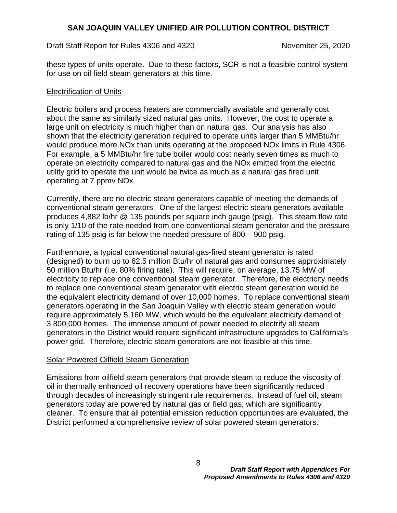#### Draft Staff Report for Rules 4306 and 4320 November 25, 2020

these types of units operate. Due to these factors, SCR is not a feasible control system for use on oil field steam generators at this time.

#### Electrification of Units

Electric boilers and process heaters are commercially available and generally cost about the same as similarly sized natural gas units. However, the cost to operate a large unit on electricity is much higher than on natural gas. Our analysis has also shown that the electricity generation required to operate units larger than 5 MMBtu/hr would produce more NOx than units operating at the proposed NOx limits in Rule 4306. For example, a 5 MMBtu/hr fire tube boiler would cost nearly seven times as much to operate on electricity compared to natural gas and the NOx emitted from the electric utility grid to operate the unit would be twice as much as a natural gas fired unit operating at 7 ppmv NOx.

Currently, there are no electric steam generators capable of meeting the demands of conventional steam generators. One of the largest electric steam generators available produces 4,882 lb/hr @ 135 pounds per square inch gauge (psig). This steam flow rate is only 1/10 of the rate needed from one conventional steam generator and the pressure rating of 135 psig is far below the needed pressure of 800 – 900 psig.

Furthermore, a typical conventional natural gas-fired steam generator is rated (designed) to burn up to 62.5 million Btu/hr of natural gas and consumes approximately 50 million Btu/hr (i.e. 80% firing rate). This will require, on average, 13.75 MW of electricity to replace one conventional steam generator. Therefore, the electricity needs to replace one conventional steam generator with electric steam generation would be the equivalent electricity demand of over 10,000 homes. To replace conventional steam generators operating in the San Joaquin Valley with electric steam generation would require approximately 5,160 MW, which would be the equivalent electricity demand of 3,800,000 homes. The immense amount of power needed to electrify all steam generators in the District would require significant infrastructure upgrades to California's power grid. Therefore, electric steam generators are not feasible at this time.

#### Solar Powered Oilfield Steam Generation

Emissions from oilfield steam generators that provide steam to reduce the viscosity of oil in thermally enhanced oil recovery operations have been significantly reduced through decades of increasingly stringent rule requirements. Instead of fuel oil, steam generators today are powered by natural gas or field gas, which are significantly cleaner. To ensure that all potential emission reduction opportunities are evaluated, the District performed a comprehensive review of solar powered steam generators.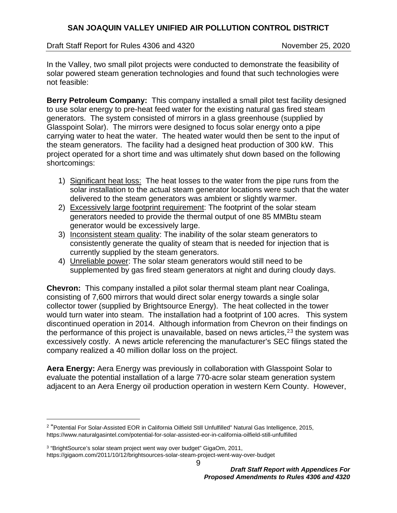Draft Staff Report for Rules 4306 and 4320 November 25, 2020

In the Valley, two small pilot projects were conducted to demonstrate the feasibility of solar powered steam generation technologies and found that such technologies were not feasible:

**Berry Petroleum Company:** This company installed a small pilot test facility designed to use solar energy to pre-heat feed water for the existing natural gas fired steam generators. The system consisted of mirrors in a glass greenhouse (supplied by Glasspoint Solar). The mirrors were designed to focus solar energy onto a pipe carrying water to heat the water. The heated water would then be sent to the input of the steam generators. The facility had a designed heat production of 300 kW. This project operated for a short time and was ultimately shut down based on the following shortcomings:

- 1) Significant heat loss: The heat losses to the water from the pipe runs from the solar installation to the actual steam generator locations were such that the water delivered to the steam generators was ambient or slightly warmer.
- 2) Excessively large footprint requirement: The footprint of the solar steam generators needed to provide the thermal output of one 85 MMBtu steam generator would be excessively large.
- 3) Inconsistent steam quality: The inability of the solar steam generators to consistently generate the quality of steam that is needed for injection that is currently supplied by the steam generators.
- 4) Unreliable power: The solar steam generators would still need to be supplemented by gas fired steam generators at night and during cloudy days.

**Chevron:** This company installed a pilot solar thermal steam plant near Coalinga, consisting of 7,600 mirrors that would direct solar energy towards a single solar collector tower (supplied by Brightsource Energy). The heat collected in the tower would turn water into steam. The installation had a footprint of 100 acres. This system discontinued operation in 2014. Although information from Chevron on their findings on the performance of this project is unavailable, based on news articles,<sup>[2](#page-8-0)[3](#page-8-1)</sup> the system was excessively costly. A news article referencing the manufacturer's SEC filings stated the company realized a 40 million dollar loss on the project.

**Aera Energy:** Aera Energy was previously in collaboration with Glasspoint Solar to evaluate the potential installation of a large 770-acre solar steam generation system adjacent to an Aera Energy oil production operation in western Kern County. However,

9

<span id="page-8-0"></span> <sup>2</sup> "Potential For Solar-Assisted EOR in California Oilfield Still Unfulfilled" Natural Gas Intelligence, 2015, https://www.naturalgasintel.com/potential-for-solar-assisted-eor-in-california-oilfield-still-unfulfilled

<span id="page-8-1"></span><sup>3</sup> "BrightSource's solar steam project went way over budget" GigaOm, 2011,

https://gigaom.com/2011/10/12/brightsources-solar-steam-project-went-way-over-budget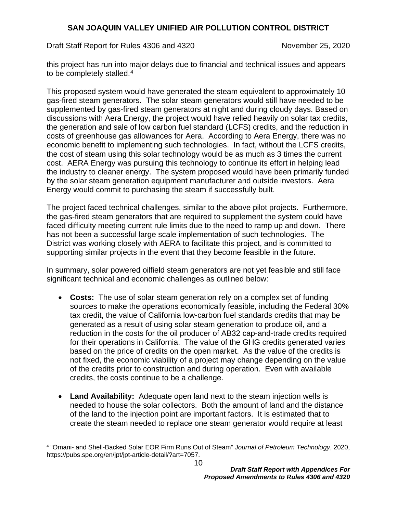Draft Staff Report for Rules 4306 and 4320 November 25, 2020

this project has run into major delays due to financial and technical issues and appears to be completely stalled. $4$ 

This proposed system would have generated the steam equivalent to approximately 10 gas-fired steam generators. The solar steam generators would still have needed to be supplemented by gas-fired steam generators at night and during cloudy days. Based on discussions with Aera Energy, the project would have relied heavily on solar tax credits, the generation and sale of low carbon fuel standard (LCFS) credits, and the reduction in costs of greenhouse gas allowances for Aera. According to Aera Energy, there was no economic benefit to implementing such technologies. In fact, without the LCFS credits, the cost of steam using this solar technology would be as much as 3 times the current cost. AERA Energy was pursuing this technology to continue its effort in helping lead the industry to cleaner energy. The system proposed would have been primarily funded by the solar steam generation equipment manufacturer and outside investors. Aera Energy would commit to purchasing the steam if successfully built.

The project faced technical challenges, similar to the above pilot projects. Furthermore, the gas-fired steam generators that are required to supplement the system could have faced difficulty meeting current rule limits due to the need to ramp up and down. There has not been a successful large scale implementation of such technologies. The District was working closely with AERA to facilitate this project, and is committed to supporting similar projects in the event that they become feasible in the future.

In summary, solar powered oilfield steam generators are not yet feasible and still face significant technical and economic challenges as outlined below:

- **Costs:** The use of solar steam generation rely on a complex set of funding sources to make the operations economically feasible, including the Federal 30% tax credit, the value of California low-carbon fuel standards credits that may be generated as a result of using solar steam generation to produce oil, and a reduction in the costs for the oil producer of AB32 cap-and-trade credits required for their operations in California. The value of the GHG credits generated varies based on the price of credits on the open market. As the value of the credits is not fixed, the economic viability of a project may change depending on the value of the credits prior to construction and during operation. Even with available credits, the costs continue to be a challenge.
- **Land Availability:** Adequate open land next to the steam injection wells is needed to house the solar collectors. Both the amount of land and the distance of the land to the injection point are important factors. It is estimated that to create the steam needed to replace one steam generator would require at least

<span id="page-9-0"></span> <sup>4</sup> "Omani- and Shell-Backed Solar EOR Firm Runs Out of Steam" *Journal of Petroleum Technology*, 2020, https://pubs.spe.org/en/jpt/jpt-article-detail/?art=7057.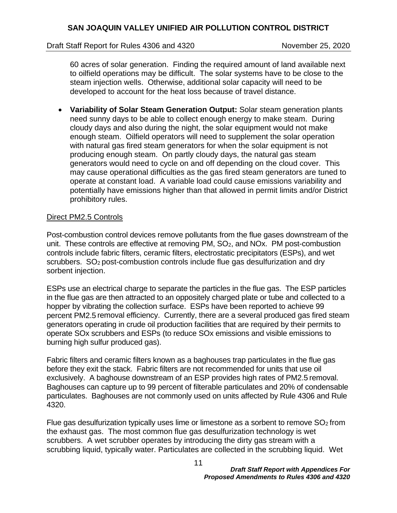#### Draft Staff Report for Rules 4306 and 4320 November 25, 2020

60 acres of solar generation. Finding the required amount of land available next to oilfield operations may be difficult. The solar systems have to be close to the steam injection wells. Otherwise, additional solar capacity will need to be developed to account for the heat loss because of travel distance.

• **Variability of Solar Steam Generation Output:** Solar steam generation plants need sunny days to be able to collect enough energy to make steam. During cloudy days and also during the night, the solar equipment would not make enough steam. Oilfield operators will need to supplement the solar operation with natural gas fired steam generators for when the solar equipment is not producing enough steam. On partly cloudy days, the natural gas steam generators would need to cycle on and off depending on the cloud cover. This may cause operational difficulties as the gas fired steam generators are tuned to operate at constant load. A variable load could cause emissions variability and potentially have emissions higher than that allowed in permit limits and/or District prohibitory rules.

#### Direct PM2.5 Controls

Post-combustion control devices remove pollutants from the flue gases downstream of the unit. These controls are effective at removing PM, SO<sub>2</sub>, and NO<sub>x</sub>. PM post-combustion controls include fabric filters, ceramic filters, electrostatic precipitators (ESPs), and wet scrubbers. SO<sub>2</sub> post-combustion controls include flue gas desulfurization and dry sorbent injection.

ESPs use an electrical charge to separate the particles in the flue gas. The ESP particles in the flue gas are then attracted to an oppositely charged plate or tube and collected to a hopper by vibrating the collection surface. ESPs have been reported to achieve 99 percent PM2.5 removal efficiency. Currently, there are a several produced gas fired steam generators operating in crude oil production facilities that are required by their permits to operate SOx scrubbers and ESPs (to reduce SOx emissions and visible emissions to burning high sulfur produced gas).

Fabric filters and ceramic filters known as a baghouses trap particulates in the flue gas before they exit the stack. Fabric filters are not recommended for units that use oil exclusively. A baghouse downstream of an ESP provides high rates of PM2.5 removal. Baghouses can capture up to 99 percent of filterable particulates and 20% of condensable particulates. Baghouses are not commonly used on units affected by Rule 4306 and Rule 4320.

Flue gas desulfurization typically uses lime or limestone as a sorbent to remove  $SO<sub>2</sub>$  from the exhaust gas. The most common flue gas desulfurization technology is wet scrubbers. A wet scrubber operates by introducing the dirty gas stream with a scrubbing liquid, typically water. Particulates are collected in the scrubbing liquid. Wet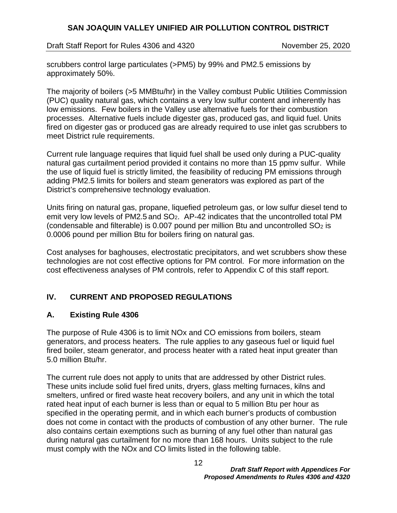Draft Staff Report for Rules 4306 and 4320 November 25, 2020

scrubbers control large particulates (>PM5) by 99% and PM2.5 emissions by approximately 50%.

The majority of boilers (>5 MMBtu/hr) in the Valley combust Public Utilities Commission (PUC) quality natural gas, which contains a very low sulfur content and inherently has low emissions. Few boilers in the Valley use alternative fuels for their combustion processes. Alternative fuels include digester gas, produced gas, and liquid fuel. Units fired on digester gas or produced gas are already required to use inlet gas scrubbers to meet District rule requirements.

Current rule language requires that liquid fuel shall be used only during a PUC-quality natural gas curtailment period provided it contains no more than 15 ppmv sulfur. While the use of liquid fuel is strictly limited, the feasibility of reducing PM emissions through adding PM2.5 limits for boilers and steam generators was explored as part of the District's comprehensive technology evaluation.

Units firing on natural gas, propane, liquefied petroleum gas, or low sulfur diesel tend to emit very low levels of PM2.5 and SO<sub>2</sub>. AP-42 indicates that the uncontrolled total PM (condensable and filterable) is 0.007 pound per million Btu and uncontrolled  $SO<sub>2</sub>$  is 0.0006 pound per million Btu for boilers firing on natural gas.

Cost analyses for baghouses, electrostatic precipitators, and wet scrubbers show these technologies are not cost effective options for PM control. For more information on the cost effectiveness analyses of PM controls, refer to Appendix C of this staff report.

# **IV. CURRENT AND PROPOSED REGULATIONS**

# **A. Existing Rule 4306**

The purpose of Rule 4306 is to limit NOx and CO emissions from boilers, steam generators, and process heaters. The rule applies to any gaseous fuel or liquid fuel fired boiler, steam generator, and process heater with a rated heat input greater than 5.0 million Btu/hr.

The current rule does not apply to units that are addressed by other District rules. These units include solid fuel fired units, dryers, glass melting furnaces, kilns and smelters, unfired or fired waste heat recovery boilers, and any unit in which the total rated heat input of each burner is less than or equal to 5 million Btu per hour as specified in the operating permit, and in which each burner's products of combustion does not come in contact with the products of combustion of any other burner. The rule also contains certain exemptions such as burning of any fuel other than natural gas during natural gas curtailment for no more than 168 hours. Units subject to the rule must comply with the NOx and CO limits listed in the following table.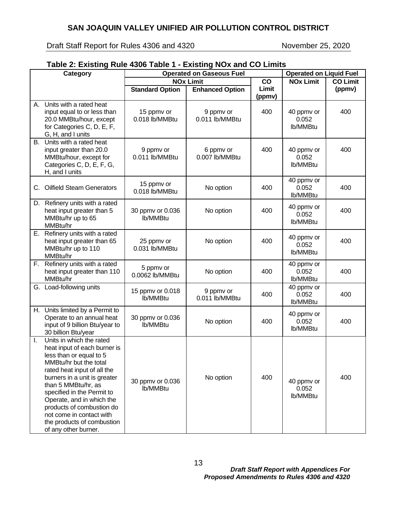Draft Staff Report for Rules 4306 and 4320 November 25, 2020

the products of combustion

of any other burner.

#### **Table 2: Existing Rule 4306 Table 1 - Existing NOx and CO Limits Category Operated on Gaseous Fuel Operated on Liquid Fuel NOx Limit CO Limit (ppmv) NOx Limit CO Limit Standard Option Enhanced Option (ppmv)** A. Units with a rated heat input equal to or less than 20.0 MMBtu/hour, except for Categories C, D, E, F, G, H, and I units 15 ppmv or 0.018 lb/MMBtu 9 ppmv or 0.011 lb/MMBtu 400 40 ppmv or 0.052 lb/MMBtu 400 B. Units with a rated heat input greater than 20.0 MMBtu/hour, except for Categories C, D, E, F, G, H, and I units 9 ppmv or 0.011 lb/MMBtu 6 ppmv or 0.007 lb/MMBtu 400 40 ppmv or 0.052 lb/MMBtu 400 C. Oilfield Steam Generators 15 ppmv or 13 ppmv of No option 1990 18<br>0.018 lb/MMBtu No option 1990 40 ppmv or 0.052 lb/MMBtu 400 D. Refinery units with a rated heat input greater than 5 MMBtu/hr up to 65 MMBtu/hr 30 ppmv or 0.036 lb/MMBtu No option  $\begin{array}{|c|c|c|c|}\n\hline\n & 400 & 40$  ppmv or 0.052 lb/MMBtu 400 E. Refinery units with a rated heat input greater than 65 MMBtu/hr up to 110 MMBtu/hr 25 ppmv or 0.031 lb/MMBtu No option  $\begin{array}{|c|c|c|c|}\n\hline\n & 400 & 40$  ppmv or 0.052 lb/MMBtu 400 F. Refinery units with a rated heat input greater than 110 MMBtu/hr 5 ppmv or 0.0062 lb/MMBtu No option <sup>400</sup> 40 ppmv or 0.052 lb/MMBtu 400 G. Load-following units 15 ppmy or 0.018 lb/MMBtu 9 ppmv or  $\frac{9 \text{ p} \cdot \text{ p}}{200}$  0.011 lb/MMBtu 40 ppmv or 0.052 lb/MMBtu 400 H. Units limited by a Permit to Operate to an annual heat input of 9 billion Btu/year to 30 billion Btu/year 30 ppmv or 0.036 lb/MMBtu No option 400 40 ppmv or 0.052 lb/MMBtu 400 I. Units in which the rated heat input of each burner is less than or equal to 5 MMBtu/hr but the total rated heat input of all the burners in a unit is greater than 5 MMBtu/hr, as specified in the Permit to Operate, and in which the products of combustion do not come in contact with 30 ppmv or 0.036 lb/MMBtu No option  $\begin{vmatrix} 400 \\ 40 \text{ ppm} \end{vmatrix}$  40 0.052 lb/MMBtu 400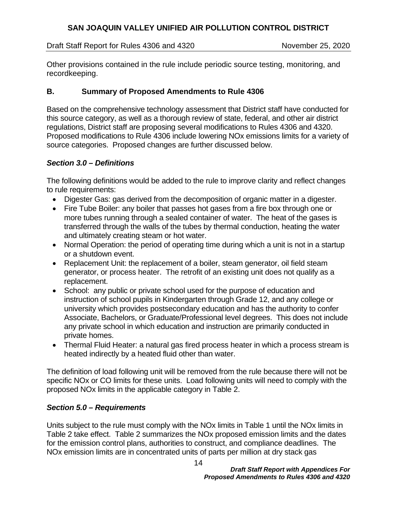Draft Staff Report for Rules 4306 and 4320 November 25, 2020

Other provisions contained in the rule include periodic source testing, monitoring, and recordkeeping.

## **B. Summary of Proposed Amendments to Rule 4306**

Based on the comprehensive technology assessment that District staff have conducted for this source category, as well as a thorough review of state, federal, and other air district regulations, District staff are proposing several modifications to Rules 4306 and 4320. Proposed modifications to Rule 4306 include lowering NOx emissions limits for a variety of source categories. Proposed changes are further discussed below.

#### *Section 3.0 – Definitions*

The following definitions would be added to the rule to improve clarity and reflect changes to rule requirements:

- Digester Gas: gas derived from the decomposition of organic matter in a digester.
- Fire Tube Boiler: any boiler that passes hot gases from a fire box through one or more tubes running through a sealed container of water. The heat of the gases is transferred through the walls of the tubes by thermal conduction, heating the water and ultimately creating steam or hot water.
- Normal Operation: the period of operating time during which a unit is not in a startup or a shutdown event.
- Replacement Unit: the replacement of a boiler, steam generator, oil field steam generator, or process heater. The retrofit of an existing unit does not qualify as a replacement.
- School: any public or private school used for the purpose of education and instruction of school pupils in Kindergarten through Grade 12, and any college or university which provides postsecondary education and has the authority to confer Associate, Bachelors, or Graduate/Professional level degrees. This does not include any private school in which education and instruction are primarily conducted in private homes.
- Thermal Fluid Heater: a natural gas fired process heater in which a process stream is heated indirectly by a heated fluid other than water.

The definition of load following unit will be removed from the rule because there will not be specific NOx or CO limits for these units. Load following units will need to comply with the proposed NOx limits in the applicable category in Table 2.

#### *Section 5.0 – Requirements*

Units subject to the rule must comply with the NOx limits in Table 1 until the NOx limits in Table 2 take effect. Table 2 summarizes the NOx proposed emission limits and the dates for the emission control plans, authorities to construct, and compliance deadlines. The NOx emission limits are in concentrated units of parts per million at dry stack gas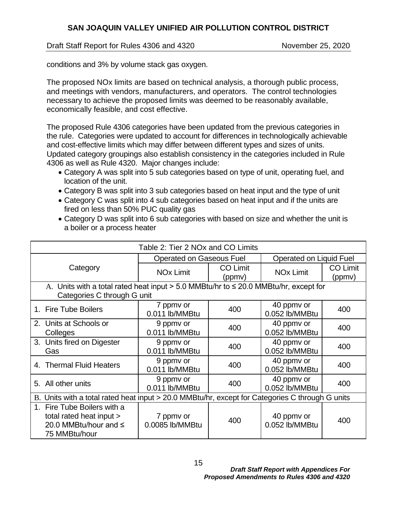Draft Staff Report for Rules 4306 and 4320 November 25, 2020

conditions and 3% by volume stack gas oxygen.

The proposed NOx limits are based on technical analysis, a thorough public process, and meetings with vendors, manufacturers, and operators. The control technologies necessary to achieve the proposed limits was deemed to be reasonably available, economically feasible, and cost effective.

The proposed Rule 4306 categories have been updated from the previous categories in the rule. Categories were updated to account for differences in technologically achievable and cost-effective limits which may differ between different types and sizes of units. Updated category groupings also establish consistency in the categories included in Rule 4306 as well as Rule 4320. Major changes include:

- Category A was split into 5 sub categories based on type of unit, operating fuel, and location of the unit.
- Category B was split into 3 sub categories based on heat input and the type of unit
- Category C was split into 4 sub categories based on heat input and if the units are fired on less than 50% PUC quality gas
- Category D was split into 6 sub categories with based on size and whether the unit is a boiler or a process heater

| Table 2: Tier 2 NOx and CO Limits                                                                                          |                                 |                           |                              |                           |
|----------------------------------------------------------------------------------------------------------------------------|---------------------------------|---------------------------|------------------------------|---------------------------|
|                                                                                                                            | <b>Operated on Gaseous Fuel</b> |                           | Operated on Liquid Fuel      |                           |
| Category                                                                                                                   | <b>NO<sub>x</sub></b> Limit     | <b>CO Limit</b><br>(ppmv) | <b>NO<sub>x</sub></b> Limit  | <b>CO Limit</b><br>(ppmv) |
| A. Units with a total rated heat input $> 5.0$ MMBtu/hr to $\leq 20.0$ MMBtu/hr, except for<br>Categories C through G unit |                                 |                           |                              |                           |
| 1. Fire Tube Boilers                                                                                                       | 7 ppmy or<br>0.011 lb/MMBtu     | 400                       | 40 ppmv or<br>0.052 lb/MMBtu | 400                       |
| 2. Units at Schools or<br>Colleges                                                                                         | 9 ppmv or<br>0.011 lb/MMBtu     | 400                       | 40 ppmy or<br>0.052 lb/MMBtu | 400                       |
| 3. Units fired on Digester<br>Gas                                                                                          | 9 ppmy or<br>0.011 lb/MMBtu     | 400                       | 40 ppmy or<br>0.052 lb/MMBtu | 400                       |
| 4. Thermal Fluid Heaters                                                                                                   | 9 ppmv or<br>0.011 lb/MMBtu     | 400                       | 40 ppmy or<br>0.052 lb/MMBtu | 400                       |
| 5. All other units                                                                                                         | 9 ppmy or<br>0.011 lb/MMBtu     | 400                       | 40 ppmy or<br>0.052 lb/MMBtu | 400                       |
| B. Units with a total rated heat input > 20.0 MMBtu/hr, except for Categories C through G units                            |                                 |                           |                              |                           |
| Fire Tube Boilers with a<br>1.<br>total rated heat input ><br>20.0 MMBtu/hour and ≤<br>75 MMBtu/hour                       | 7 ppmy or<br>0.0085 lb/MMBtu    | 400                       | 40 ppmv or<br>0.052 lb/MMBtu | 400                       |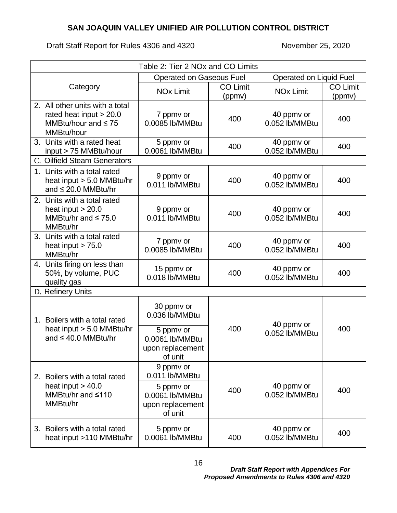| Table 2: Tier 2 NOx and CO Limits                                                                      |                                                |                 |                              |                 |
|--------------------------------------------------------------------------------------------------------|------------------------------------------------|-----------------|------------------------------|-----------------|
|                                                                                                        | <b>Operated on Gaseous Fuel</b>                |                 | Operated on Liquid Fuel      |                 |
| Category                                                                                               | <b>NOx Limit</b>                               | <b>CO Limit</b> | <b>NOx Limit</b>             | <b>CO Limit</b> |
| 2. All other units with a total<br>rated heat input $> 20.0$<br>MMBtu/hour and $\leq 75$<br>MMBtu/hour | 7 ppmv or<br>0.0085 lb/MMBtu                   | (ppmv)<br>400   | 40 ppmv or<br>0.052 lb/MMBtu | (ppmv)<br>400   |
| 3. Units with a rated heat<br>input > 75 MMBtu/hour<br>C. Oilfield Steam Generators                    | 5 ppmv or<br>0.0061 lb/MMBtu                   | 400             | 40 ppmv or<br>0.052 lb/MMBtu | 400             |
| 1. Units with a total rated<br>heat input > 5.0 MMBtu/hr<br>and $\leq$ 20.0 MMBtu/hr                   | 9 ppmv or<br>0.011 lb/MMBtu                    | 400             | 40 ppmv or<br>0.052 lb/MMBtu | 400             |
| 2. Units with a total rated<br>heat input $> 20.0$<br>MMBtu/hr and $\leq 75.0$<br>MMBtu/hr             | 9 ppmv or<br>0.011 lb/MMBtu                    | 400             | 40 ppmv or<br>0.052 lb/MMBtu | 400             |
| 3. Units with a total rated<br>heat input $> 75.0$<br>MMBtu/hr                                         | 7 ppmv or<br>0.0085 lb/MMBtu                   | 400             | 40 ppmv or<br>0.052 lb/MMBtu | 400             |
| 4. Units firing on less than<br>50%, by volume, PUC<br>quality gas                                     | 15 ppmv or<br>0.018 lb/MMBtu                   | 400             | 40 ppmv or<br>0.052 lb/MMBtu | 400             |
| D. Refinery Units                                                                                      |                                                |                 |                              |                 |
| 1. Boilers with a total rated<br>heat input $> 5.0$ MMBtu/hr                                           | 30 ppmv or<br>0.036 lb/MMBtu<br>5 ppmv or      | 400             | 40 ppmv or                   | 400             |
| and $\leq 40.0$ MMBtu/hr                                                                               | 0.0061 lb/MMBtu<br>upon replacement<br>of unit |                 | 0.052 lb/MMBtu               |                 |
| 2. Boilers with a total rated<br>heat input $> 40.0$                                                   | 9 ppmv or<br>0.011 lb/MMBtu<br>5 ppmv or       |                 | 40 ppmv or                   |                 |
| MMBtu/hr and $\leq 110$<br>MMBtu/hr                                                                    | 0.0061 lb/MMBtu<br>upon replacement<br>of unit | 400             | 0.052 lb/MMBtu               | 400             |
| 3. Boilers with a total rated<br>heat input >110 MMBtu/hr                                              | 5 ppmv or<br>0.0061 lb/MMBtu                   | 400             | 40 ppmv or<br>0.052 lb/MMBtu | 400             |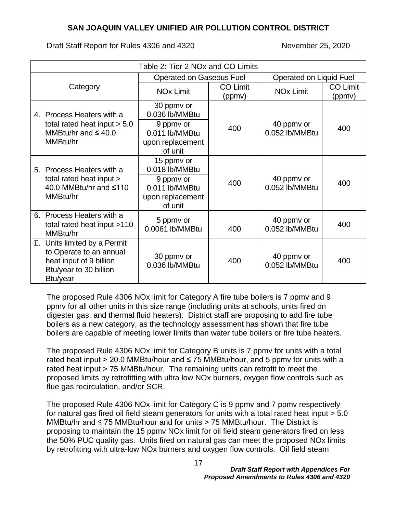Draft Staff Report for Rules 4306 and 4320 November 25, 2020

| Table 2: Tier 2 NOx and CO Limits                                                                                        |                                                            |                           |                              |                           |
|--------------------------------------------------------------------------------------------------------------------------|------------------------------------------------------------|---------------------------|------------------------------|---------------------------|
| <b>Operated on Gaseous Fuel</b>                                                                                          |                                                            |                           | Operated on Liquid Fuel      |                           |
| Category                                                                                                                 | <b>NO<sub>x</sub></b> Limit                                | <b>CO Limit</b><br>(ppmv) | <b>NOx Limit</b>             | <b>CO Limit</b><br>(ppmv) |
| 4. Process Heaters with a                                                                                                | 30 ppmv or<br>0.036 lb/MMBtu                               |                           |                              |                           |
| total rated heat input $> 5.0$<br>MMBtu/hr and $\leq 40.0$<br>MMBtu/hr                                                   | 9 ppmy or<br>0.011 lb/MMBtu<br>upon replacement<br>of unit | 400                       | 40 ppmy or<br>0.052 lb/MMBtu | 400                       |
| 5. Process Heaters with a<br>total rated heat input >                                                                    | 15 ppmv or<br>0.018 lb/MMBtu<br>9 ppmv or                  |                           | 40 ppmy or                   |                           |
| 40.0 MMBtu/hr and $\leq 110$<br>MMBtu/hr                                                                                 | 0.011 lb/MMBtu<br>upon replacement<br>of unit              | 400                       | 0.052 lb/MMBtu               | 400                       |
| 6. Process Heaters with a<br>total rated heat input >110<br>MMBtu/hr                                                     | 5 ppmv or<br>0.0061 lb/MMBtu                               | 400                       | 40 ppmy or<br>0.052 lb/MMBtu | 400                       |
| E. Units limited by a Permit<br>to Operate to an annual<br>heat input of 9 billion<br>Btu/year to 30 billion<br>Btu/year | 30 ppmv or<br>0.036 lb/MMBtu                               | 400                       | 40 ppmy or<br>0.052 lb/MMBtu | 400                       |

The proposed Rule 4306 NOx limit for Category A fire tube boilers is 7 ppmv and 9 ppmv for all other units in this size range (including units at schools, units fired on digester gas, and thermal fluid heaters). District staff are proposing to add fire tube boilers as a new category, as the technology assessment has shown that fire tube boilers are capable of meeting lower limits than water tube boilers or fire tube heaters.

The proposed Rule 4306 NOx limit for Category B units is 7 ppmv for units with a total rated heat input > 20.0 MMBtu/hour and  $\leq$  75 MMBtu/hour, and 5 ppmv for units with a rated heat input > 75 MMBtu/hour. The remaining units can retrofit to meet the proposed limits by retrofitting with ultra low NOx burners, oxygen flow controls such as flue gas recirculation, and/or SCR.

The proposed Rule 4306 NOx limit for Category C is 9 ppmv and 7 ppmv respectively for natural gas fired oil field steam generators for units with a total rated heat input > 5.0 MMBtu/hr and ≤ 75 MMBtu/hour and for units > 75 MMBtu/hour. The District is proposing to maintain the 15 ppmv NOx limit for oil field steam generators fired on less the 50% PUC quality gas. Units fired on natural gas can meet the proposed NOx limits by retrofitting with ultra-low NOx burners and oxygen flow controls. Oil field steam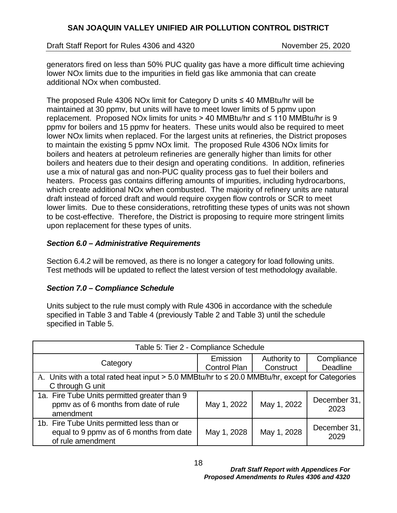Draft Staff Report for Rules 4306 and 4320 November 25, 2020

generators fired on less than 50% PUC quality gas have a more difficult time achieving lower NOx limits due to the impurities in field gas like ammonia that can create additional NOx when combusted.

The proposed Rule 4306 NOx limit for Category D units ≤ 40 MMBtu/hr will be maintained at 30 ppmv, but units will have to meet lower limits of 5 ppmv upon replacement. Proposed NOx limits for units > 40 MMBtu/hr and  $\leq$  110 MMBtu/hr is 9 ppmv for boilers and 15 ppmv for heaters. These units would also be required to meet lower NOx limits when replaced. For the largest units at refineries, the District proposes to maintain the existing 5 ppmv NOx limit. The proposed Rule 4306 NOx limits for boilers and heaters at petroleum refineries are generally higher than limits for other boilers and heaters due to their design and operating conditions. In addition, refineries use a mix of natural gas and non-PUC quality process gas to fuel their boilers and heaters. Process gas contains differing amounts of impurities, including hydrocarbons, which create additional NOx when combusted. The majority of refinery units are natural draft instead of forced draft and would require oxygen flow controls or SCR to meet lower limits. Due to these considerations, retrofitting these types of units was not shown to be cost-effective. Therefore, the District is proposing to require more stringent limits upon replacement for these types of units.

## *Section 6.0 – Administrative Requirements*

Section 6.4.2 will be removed, as there is no longer a category for load following units. Test methods will be updated to reflect the latest version of test methodology available.

# *Section 7.0 – Compliance Schedule*

Units subject to the rule must comply with Rule 4306 in accordance with the schedule specified in Table 3 and Table 4 (previously Table 2 and Table 3) until the schedule specified in Table 5.

| Table 5: Tier 2 - Compliance Schedule                                                                               |                                 |                           |                        |
|---------------------------------------------------------------------------------------------------------------------|---------------------------------|---------------------------|------------------------|
| Category                                                                                                            | Emission<br><b>Control Plan</b> | Authority to<br>Construct | Compliance<br>Deadline |
| A. Units with a total rated heat input > 5.0 MMBtu/hr to ≤ 20.0 MMBtu/hr, except for Categories<br>C through G unit |                                 |                           |                        |
| 1a. Fire Tube Units permitted greater than 9<br>ppmv as of 6 months from date of rule<br>amendment                  | May 1, 2022                     | May 1, 2022               | December 31,<br>2023   |
| 1b. Fire Tube Units permitted less than or<br>equal to 9 ppmv as of 6 months from date<br>of rule amendment         | May 1, 2028                     | May 1, 2028               | December 31,<br>2029   |

18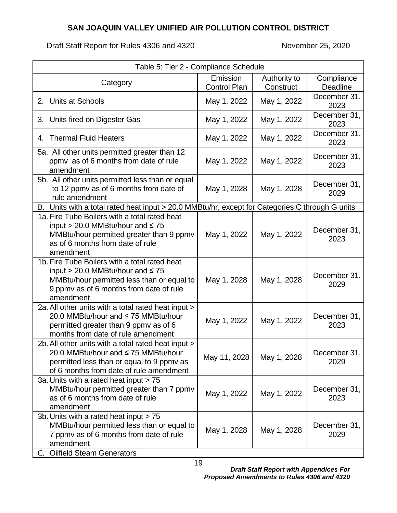Draft Staff Report for Rules 4306 and 4320 November 25, 2020

| Table 5: Tier 2 - Compliance Schedule                                                                                                                                                        |                                 |                           |                        |
|----------------------------------------------------------------------------------------------------------------------------------------------------------------------------------------------|---------------------------------|---------------------------|------------------------|
| Category                                                                                                                                                                                     | Emission<br><b>Control Plan</b> | Authority to<br>Construct | Compliance<br>Deadline |
| 2. Units at Schools                                                                                                                                                                          | May 1, 2022                     | May 1, 2022               | December 31,<br>2023   |
| Units fired on Digester Gas<br>3.                                                                                                                                                            | May 1, 2022                     | May 1, 2022               | December 31,<br>2023   |
| <b>Thermal Fluid Heaters</b><br>4.                                                                                                                                                           | May 1, 2022                     | May 1, 2022               | December 31,<br>2023   |
| 5a. All other units permitted greater than 12<br>ppmv as of 6 months from date of rule<br>amendment                                                                                          | May 1, 2022                     | May 1, 2022               | December 31,<br>2023   |
| 5b. All other units permitted less than or equal<br>to 12 ppmv as of 6 months from date of<br>rule amendment                                                                                 | May 1, 2028                     | May 1, 2028               | December 31,<br>2029   |
| B. Units with a total rated heat input > 20.0 MMBtu/hr, except for Categories C through G units                                                                                              |                                 |                           |                        |
| 1a. Fire Tube Boilers with a total rated heat<br>input > 20.0 MMBtu/hour and $\leq 75$<br>MMBtu/hour permitted greater than 9 ppmv<br>as of 6 months from date of rule<br>amendment          | May 1, 2022                     | May 1, 2022               | December 31,<br>2023   |
| 1b. Fire Tube Boilers with a total rated heat<br>input > 20.0 MMBtu/hour and $\leq 75$<br>MMBtu/hour permitted less than or equal to<br>9 ppmv as of 6 months from date of rule<br>amendment | May 1, 2028                     | May 1, 2028               | December 31,<br>2029   |
| 2a. All other units with a total rated heat input ><br>20.0 MMBtu/hour and ≤75 MMBtu/hour<br>permitted greater than 9 ppmy as of 6<br>months from date of rule amendment                     | May 1, 2022                     | May 1, 2022               | December 31,<br>2023   |
| 2b. All other units with a total rated heat input ><br>20.0 MMBtu/hour and ≤ 75 MMBtu/hour<br>permitted less than or equal to 9 ppmy as<br>of 6 months from date of rule amendment           | May 11, 2028                    | May 1, 2028               | December 31,<br>2029   |
| 3a. Units with a rated heat input > 75<br>MMBtu/hour permitted greater than 7 ppmv<br>as of 6 months from date of rule<br>amendment                                                          | May 1, 2022                     | May 1, 2022               | December 31,<br>2023   |
| 3b. Units with a rated heat input > 75<br>MMBtu/hour permitted less than or equal to<br>7 ppmv as of 6 months from date of rule<br>amendment                                                 | May 1, 2028                     | May 1, 2028               | December 31,<br>2029   |
| C. Oilfield Steam Generators                                                                                                                                                                 |                                 |                           |                        |

C. Oilfield Steam Generators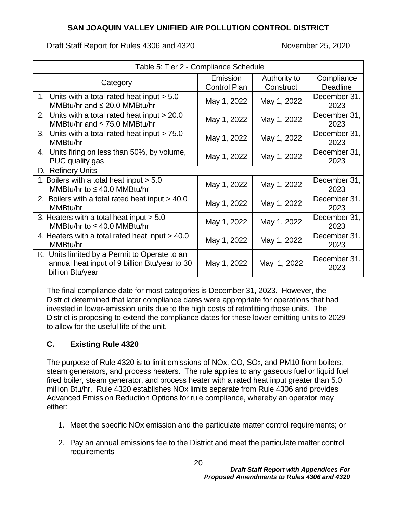Draft Staff Report for Rules 4306 and 4320 November 25, 2020

| Table 5: Tier 2 - Compliance Schedule                                                                              |                                 |                           |                        |
|--------------------------------------------------------------------------------------------------------------------|---------------------------------|---------------------------|------------------------|
| Category                                                                                                           | Emission<br><b>Control Plan</b> | Authority to<br>Construct | Compliance<br>Deadline |
| 1. Units with a total rated heat input $> 5.0$<br>MMBtu/hr and $\leq 20.0$ MMBtu/hr                                | May 1, 2022                     | May 1, 2022               | December 31,<br>2023   |
| 2. Units with a total rated heat input > 20.0<br>MMBtu/hr and $\leq 75.0$ MMBtu/hr                                 | May 1, 2022                     | May 1, 2022               | December 31,<br>2023   |
| 3. Units with a total rated heat input > 75.0<br>MMBtu/hr                                                          | May 1, 2022                     | May 1, 2022               | December 31,<br>2023   |
| 4. Units firing on less than 50%, by volume,<br>PUC quality gas                                                    | May 1, 2022                     | May 1, 2022               | December 31,<br>2023   |
| D. Refinery Units                                                                                                  |                                 |                           |                        |
| 1. Boilers with a total heat input > 5.0<br>MMBtu/hr to $\leq 40.0$ MMBtu/hr                                       | May 1, 2022                     | May 1, 2022               | December 31,<br>2023   |
| 2. Boilers with a total rated heat input > 40.0<br>MMB <sub>tu</sub> /hr                                           | May 1, 2022                     | May 1, 2022               | December 31,<br>2023   |
| 3. Heaters with a total heat input $> 5.0$<br>MMBtu/hr to $\leq 40.0$ MMBtu/hr                                     | May 1, 2022                     | May 1, 2022               | December 31,<br>2023   |
| 4. Heaters with a total rated heat input > 40.0<br>MMBtu/hr                                                        | May 1, 2022                     | May 1, 2022               | December 31,<br>2023   |
| E. Units limited by a Permit to Operate to an<br>annual heat input of 9 billion Btu/year to 30<br>billion Btu/year | May 1, 2022                     | May 1, 2022               | December 31,<br>2023   |

The final compliance date for most categories is December 31, 2023. However, the District determined that later compliance dates were appropriate for operations that had invested in lower-emission units due to the high costs of retrofitting those units. The District is proposing to extend the compliance dates for these lower-emitting units to 2029 to allow for the useful life of the unit.

# **C. Existing Rule 4320**

The purpose of Rule 4320 is to limit emissions of NOx, CO, SO<sub>2</sub>, and PM10 from boilers, steam generators, and process heaters. The rule applies to any gaseous fuel or liquid fuel fired boiler, steam generator, and process heater with a rated heat input greater than 5.0 million Btu/hr. Rule 4320 establishes NOx limits separate from Rule 4306 and provides Advanced Emission Reduction Options for rule compliance, whereby an operator may either:

- 1. Meet the specific NOx emission and the particulate matter control requirements; or
- 2. Pay an annual emissions fee to the District and meet the particulate matter control requirements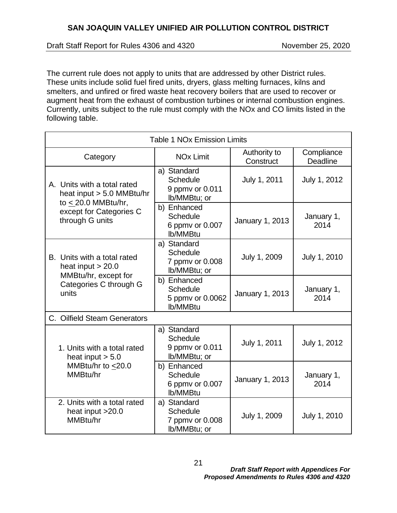Draft Staff Report for Rules 4306 and 4320 November 25, 2020

The current rule does not apply to units that are addressed by other District rules. These units include solid fuel fired units, dryers, glass melting furnaces, kilns and smelters, and unfired or fired waste heat recovery boilers that are used to recover or augment heat from the exhaust of combustion turbines or internal combustion engines. Currently, units subject to the rule must comply with the NOx and CO limits listed in the following table.

| <b>Table 1 NOx Emission Limits</b>                                         |                                                                   |                           |                        |
|----------------------------------------------------------------------------|-------------------------------------------------------------------|---------------------------|------------------------|
| Category                                                                   | <b>NO<sub>x</sub></b> Limit                                       | Authority to<br>Construct | Compliance<br>Deadline |
| A. Units with a total rated<br>heat input $> 5.0$ MMBtu/hr                 | a) Standard<br><b>Schedule</b><br>9 ppmv or 0.011<br>lb/MMBtu; or | July 1, 2011              | July 1, 2012           |
| to $<$ 20.0 MMBtu/hr,<br>except for Categories C<br>through G units        | b) Enhanced<br><b>Schedule</b><br>6 ppmv or 0.007<br>lb/MMBtu     | January 1, 2013           | January 1,<br>2014     |
| B. Units with a total rated<br>heat input $> 20.0$<br>MMBtu/hr, except for | a) Standard<br><b>Schedule</b><br>7 ppmv or 0.008<br>Ib/MMBtu; or | July 1, 2009              | July 1, 2010           |
| Categories C through G<br>units                                            | b) Enhanced<br><b>Schedule</b><br>5 ppmv or 0.0062<br>lb/MMBtu    | January 1, 2013           | January 1,<br>2014     |
| C. Oilfield Steam Generators                                               |                                                                   |                           |                        |
| 1. Units with a total rated<br>heat input $> 5.0$                          | a) Standard<br><b>Schedule</b><br>9 ppmv or 0.011<br>Ib/MMBtu; or | July 1, 2011              | July 1, 2012           |
| MMBtu/hr to <20.0<br>MMBtu/hr                                              | b) Enhanced<br><b>Schedule</b><br>6 ppmv or 0.007<br>lb/MMBtu     | January 1, 2013           | January 1,<br>2014     |
| 2. Units with a total rated<br>heat input >20.0<br>MMBtu/hr                | a) Standard<br><b>Schedule</b><br>7 ppmv or 0.008<br>Ib/MMBtu; or | July 1, 2009              | July 1, 2010           |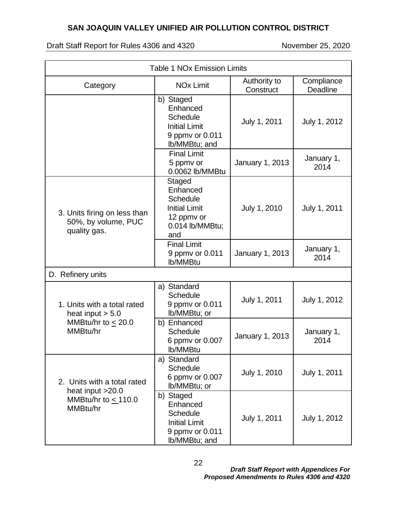| <b>Table 1 NOx Emission Limits</b>                                  |                                                                                                       |                           |                               |
|---------------------------------------------------------------------|-------------------------------------------------------------------------------------------------------|---------------------------|-------------------------------|
| Category                                                            | <b>NO<sub>x</sub></b> Limit                                                                           | Authority to<br>Construct | Compliance<br><b>Deadline</b> |
|                                                                     | b) Staged<br>Enhanced<br>Schedule<br><b>Initial Limit</b><br>9 ppmv or 0.011<br>Ib/MMBtu; and         | July 1, 2011              | July 1, 2012                  |
|                                                                     | <b>Final Limit</b><br>5 ppmv or<br>0.0062 lb/MMBtu                                                    | January 1, 2013           | January 1,<br>2014            |
| 3. Units firing on less than<br>50%, by volume, PUC<br>quality gas. | Staged<br>Enhanced<br><b>Schedule</b><br><b>Initial Limit</b><br>12 ppmv or<br>0.014 lb/MMBtu;<br>and | July 1, 2010              | July 1, 2011                  |
|                                                                     | <b>Final Limit</b><br>9 ppmv or 0.011<br>lb/MMBtu                                                     | January 1, 2013           | January 1,<br>2014            |
| D. Refinery units                                                   |                                                                                                       |                           |                               |
| 1. Units with a total rated<br>heat input $> 5.0$                   | a) Standard<br><b>Schedule</b><br>9 ppmv or 0.011<br>Ib/MMBtu; or                                     | July 1, 2011              | July 1, 2012                  |
| MMBtu/hr to $<$ 20.0<br>MMBtu/hr                                    | b) Enhanced<br><b>Schedule</b><br>6 ppmv or 0.007<br>lb/MMBtu                                         | January 1, 2013           | January 1,<br>2014            |
| 2. Units with a total rated<br>heat input >20.0                     | a) Standard<br><b>Schedule</b><br>6 ppmv or 0.007<br>Ib/MMBtu; or                                     | July 1, 2010              | July 1, 2011                  |
| MMBtu/hr to $\leq$ 110.0<br>MMBtu/hr                                | b) Staged<br>Enhanced<br><b>Schedule</b><br><b>Initial Limit</b><br>9 ppmv or 0.011<br>Ib/MMBtu; and  | July 1, 2011              | July 1, 2012                  |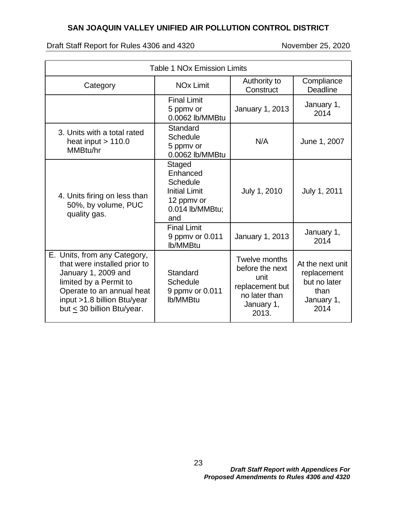| <b>Table 1 NOx Emission Limits</b>                                                                                                                                                                           |                                                                                                       |                                                                                                            |                                                                               |
|--------------------------------------------------------------------------------------------------------------------------------------------------------------------------------------------------------------|-------------------------------------------------------------------------------------------------------|------------------------------------------------------------------------------------------------------------|-------------------------------------------------------------------------------|
| Category                                                                                                                                                                                                     | <b>NO<sub>x</sub></b> Limit                                                                           | Authority to<br>Construct                                                                                  | Compliance<br>Deadline                                                        |
|                                                                                                                                                                                                              | <b>Final Limit</b><br>5 ppmv or<br>0.0062 lb/MMBtu                                                    | January 1, 2013                                                                                            | January 1,<br>2014                                                            |
| 3. Units with a total rated<br>heat input $> 110.0$<br>MMBtu/hr                                                                                                                                              | Standard<br><b>Schedule</b><br>5 ppmy or<br>0.0062 lb/MMBtu                                           | N/A                                                                                                        | June 1, 2007                                                                  |
| 4. Units firing on less than<br>50%, by volume, PUC<br>quality gas.                                                                                                                                          | Staged<br>Enhanced<br><b>Schedule</b><br><b>Initial Limit</b><br>12 ppmv or<br>0.014 lb/MMBtu;<br>and | July 1, 2010                                                                                               | July 1, 2011                                                                  |
|                                                                                                                                                                                                              | <b>Final Limit</b><br>9 ppmv or 0.011<br>lb/MMBtu                                                     | January 1, 2013                                                                                            | January 1,<br>2014                                                            |
| E. Units, from any Category,<br>that were installed prior to<br>January 1, 2009 and<br>limited by a Permit to<br>Operate to an annual heat<br>input >1.8 billion Btu/year<br>but $\leq$ 30 billion Btu/year. | Standard<br>Schedule<br>9 ppmv or 0.011<br><b>lb/MMBtu</b>                                            | <b>Twelve months</b><br>before the next<br>unit<br>replacement but<br>no later than<br>January 1,<br>2013. | At the next unit<br>replacement<br>but no later<br>than<br>January 1,<br>2014 |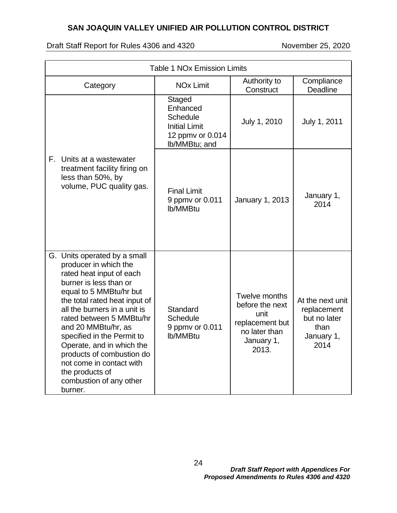| <b>Table 1 NOx Emission Limits</b>                                                                                                                                                                                                                                                                                                                                                                                                      |                                                                                                    |                                                                                                     |                                                                               |  |  |  |  |  |
|-----------------------------------------------------------------------------------------------------------------------------------------------------------------------------------------------------------------------------------------------------------------------------------------------------------------------------------------------------------------------------------------------------------------------------------------|----------------------------------------------------------------------------------------------------|-----------------------------------------------------------------------------------------------------|-------------------------------------------------------------------------------|--|--|--|--|--|
| Category                                                                                                                                                                                                                                                                                                                                                                                                                                | <b>NO<sub>x</sub></b> Limit                                                                        | Authority to<br>Construct                                                                           | Compliance<br><b>Deadline</b>                                                 |  |  |  |  |  |
|                                                                                                                                                                                                                                                                                                                                                                                                                                         | Staged<br>Enhanced<br><b>Schedule</b><br><b>Initial Limit</b><br>12 ppmv or 0.014<br>lb/MMBtu; and | July 1, 2010                                                                                        | July 1, 2011                                                                  |  |  |  |  |  |
| F.,<br>Units at a wastewater<br>treatment facility firing on<br>less than 50%, by<br>volume, PUC quality gas.                                                                                                                                                                                                                                                                                                                           | <b>Final Limit</b><br>9 ppmv or 0.011<br>lb/MMBtu                                                  | January 1, 2013                                                                                     | January 1,<br>2014                                                            |  |  |  |  |  |
| G. Units operated by a small<br>producer in which the<br>rated heat input of each<br>burner is less than or<br>equal to 5 MMBtu/hr but<br>the total rated heat input of<br>all the burners in a unit is<br>rated between 5 MMBtu/hr<br>and 20 MMBtu/hr, as<br>specified in the Permit to<br>Operate, and in which the<br>products of combustion do<br>not come in contact with<br>the products of<br>combustion of any other<br>burner. | Standard<br><b>Schedule</b><br>9 ppmv or 0.011<br>lb/MMBtu                                         | Twelve months<br>before the next<br>unit<br>replacement but<br>no later than<br>January 1,<br>2013. | At the next unit<br>replacement<br>but no later<br>than<br>January 1,<br>2014 |  |  |  |  |  |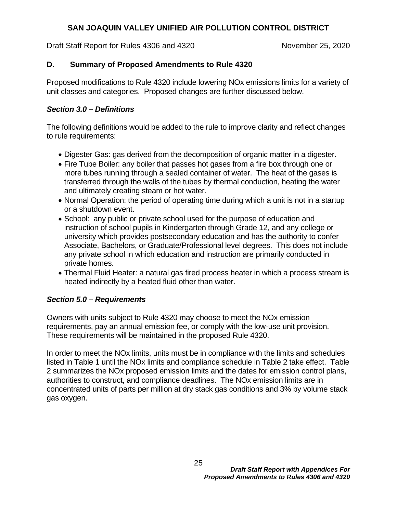Draft Staff Report for Rules 4306 and 4320 November 25, 2020

#### **D. Summary of Proposed Amendments to Rule 4320**

Proposed modifications to Rule 4320 include lowering NOx emissions limits for a variety of unit classes and categories. Proposed changes are further discussed below.

#### *Section 3.0 – Definitions*

The following definitions would be added to the rule to improve clarity and reflect changes to rule requirements:

- Digester Gas: gas derived from the decomposition of organic matter in a digester.
- Fire Tube Boiler: any boiler that passes hot gases from a fire box through one or more tubes running through a sealed container of water. The heat of the gases is transferred through the walls of the tubes by thermal conduction, heating the water and ultimately creating steam or hot water.
- Normal Operation: the period of operating time during which a unit is not in a startup or a shutdown event.
- School: any public or private school used for the purpose of education and instruction of school pupils in Kindergarten through Grade 12, and any college or university which provides postsecondary education and has the authority to confer Associate, Bachelors, or Graduate/Professional level degrees. This does not include any private school in which education and instruction are primarily conducted in private homes.
- Thermal Fluid Heater: a natural gas fired process heater in which a process stream is heated indirectly by a heated fluid other than water.

#### *Section 5.0 – Requirements*

Owners with units subject to Rule 4320 may choose to meet the NOx emission requirements, pay an annual emission fee, or comply with the low-use unit provision. These requirements will be maintained in the proposed Rule 4320.

In order to meet the NOx limits, units must be in compliance with the limits and schedules listed in Table 1 until the NOx limits and compliance schedule in Table 2 take effect. Table 2 summarizes the NOx proposed emission limits and the dates for emission control plans, authorities to construct, and compliance deadlines. The NOx emission limits are in concentrated units of parts per million at dry stack gas conditions and 3% by volume stack gas oxygen.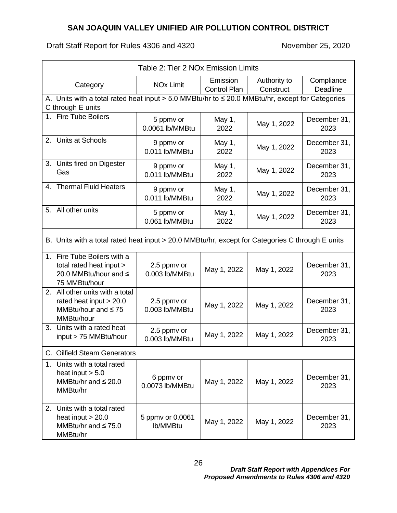| Table 2: Tier 2 NOx Emission Limits                                                                                         |                               |                          |                           |                        |  |  |  |
|-----------------------------------------------------------------------------------------------------------------------------|-------------------------------|--------------------------|---------------------------|------------------------|--|--|--|
| Category                                                                                                                    | <b>NO<sub>x</sub></b> Limit   | Emission<br>Control Plan | Authority to<br>Construct | Compliance<br>Deadline |  |  |  |
| A. Units with a total rated heat input $> 5.0$ MMBtu/hr to $\leq 20.0$ MMBtu/hr, except for Categories<br>C through E units |                               |                          |                           |                        |  |  |  |
| 1. Fire Tube Boilers                                                                                                        | 5 ppmv or<br>0.0061 lb/MMBtu  | May 1,<br>2022           | May 1, 2022               | December 31,<br>2023   |  |  |  |
| Units at Schools<br>2.                                                                                                      | 9 ppmv or<br>0.011 lb/MMBtu   | May 1,<br>2022           | May 1, 2022               | December 31,<br>2023   |  |  |  |
| 3.<br>Units fired on Digester<br>Gas                                                                                        | 9 ppmv or<br>0.011 lb/MMBtu   | May 1,<br>2022           | May 1, 2022               | December 31,<br>2023   |  |  |  |
| <b>Thermal Fluid Heaters</b><br>4.                                                                                          | 9 ppmv or<br>0.011 lb/MMBtu   | May 1,<br>2022           | May 1, 2022               | December 31,<br>2023   |  |  |  |
| 5. All other units                                                                                                          | 5 ppmv or<br>0.061 lb/MMBtu   | May 1,<br>2022           | May 1, 2022               | December 31,<br>2023   |  |  |  |
| B. Units with a total rated heat input > 20.0 MMBtu/hr, except for Categories C through E units                             |                               |                          |                           |                        |  |  |  |
| 1. Fire Tube Boilers with a<br>total rated heat input ><br>20.0 MMBtu/hour and ≤<br>75 MMBtu/hour                           | 2.5 ppmv or<br>0.003 lb/MMBtu | May 1, 2022              | May 1, 2022               | December 31,<br>2023   |  |  |  |
| 2. All other units with a total<br>rated heat input $> 20.0$<br>MMBtu/hour and $\leq 75$<br>MMBtu/hour                      | 2.5 ppmv or<br>0.003 lb/MMBtu | May 1, 2022              | May 1, 2022               | December 31,<br>2023   |  |  |  |
| 3.<br>Units with a rated heat<br>input > 75 MMBtu/hour                                                                      | 2.5 ppmv or<br>0.003 lb/MMBtu | May 1, 2022              | May 1, 2022               | December 31,<br>2023   |  |  |  |
| C. Oilfield Steam Generators                                                                                                |                               |                          |                           |                        |  |  |  |
| 1. Units with a total rated<br>heat input $> 5.0$<br>MMBtu/hr and $\leq 20.0$<br>MMBtu/hr                                   | 6 ppmv or<br>0.0073 lb/MMBtu  | May 1, 2022              | May 1, 2022               | December 31,<br>2023   |  |  |  |
| 2. Units with a total rated<br>heat input $> 20.0$<br>MMBtu/hr and $\leq 75.0$<br>MMBtu/hr                                  | 5 ppmv or 0.0061<br>lb/MMBtu  | May 1, 2022              | May 1, 2022               | December 31,<br>2023   |  |  |  |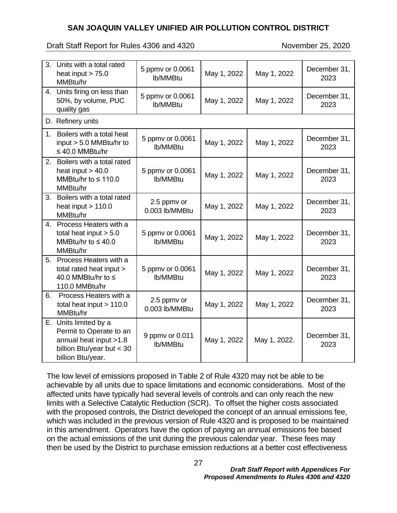Draft Staff Report for Rules 4306 and 4320 November 25, 2020

|                | 3. Units with a total rated<br>heat input $> 75.0$<br>MMBtu/hr                                                                 | 5 ppmv or 0.0061<br>lb/MMBtu  | May 1, 2022 | May 1, 2022  | December 31,<br>2023 |
|----------------|--------------------------------------------------------------------------------------------------------------------------------|-------------------------------|-------------|--------------|----------------------|
|                | 4. Units firing on less than<br>50%, by volume, PUC<br>quality gas                                                             | 5 ppmv or 0.0061<br>lb/MMBtu  | May 1, 2022 | May 1, 2022  | December 31,<br>2023 |
|                | D. Refinery units                                                                                                              |                               |             |              |                      |
| 1 <sub>1</sub> | Boilers with a total heat<br>input > 5.0 MMBtu/hr to<br>$\leq 40.0$ MMBtu/hr                                                   | 5 ppmv or 0.0061<br>lb/MMBtu  | May 1, 2022 | May 1, 2022  | December 31,<br>2023 |
|                | 2. Boilers with a total rated<br>heat input $> 40.0$<br>MMBtu/hr to $\leq 110.0$<br>MMBtu/hr                                   | 5 ppmv or 0.0061<br>lb/MMBtu  | May 1, 2022 | May 1, 2022  | December 31,<br>2023 |
| 3.             | Boilers with a total rated<br>heat input $> 110.0$<br>MMBtu/hr                                                                 | 2.5 ppmv or<br>0.003 lb/MMBtu | May 1, 2022 | May 1, 2022  | December 31,<br>2023 |
|                | 4. Process Heaters with a<br>total heat input $> 5.0$<br>MMBtu/hr to $\leq 40.0$<br>MMBtu/hr                                   | 5 ppmv or 0.0061<br>lb/MMBtu  | May 1, 2022 | May 1, 2022  | December 31,<br>2023 |
|                | 5. Process Heaters with a<br>total rated heat input ><br>40.0 MMBtu/hr to ≤<br>110.0 MMBtu/hr                                  | 5 ppmv or 0.0061<br>lb/MMBtu  | May 1, 2022 | May 1, 2022  | December 31,<br>2023 |
| 6.             | Process Heaters with a<br>total heat input $> 110.0$<br>MMBtu/hr                                                               | 2.5 ppmv or<br>0.003 lb/MMBtu | May 1, 2022 | May 1, 2022  | December 31,<br>2023 |
|                | E. Units limited by a<br>Permit to Operate to an<br>annual heat input >1.8<br>billion Btu/year but $<$ 30<br>billion Btu/year. | 9 ppmv or 0.011<br>lb/MMBtu   | May 1, 2022 | May 1, 2022. | December 31,<br>2023 |

The low level of emissions proposed in Table 2 of Rule 4320 may not be able to be achievable by all units due to space limitations and economic considerations. Most of the affected units have typically had several levels of controls and can only reach the new limits with a Selective Catalytic Reduction (SCR). To offset the higher costs associated with the proposed controls, the District developed the concept of an annual emissions fee, which was included in the previous version of Rule 4320 and is proposed to be maintained in this amendment. Operators have the option of paying an annual emissions fee based on the actual emissions of the unit during the previous calendar year. These fees may then be used by the District to purchase emission reductions at a better cost effectiveness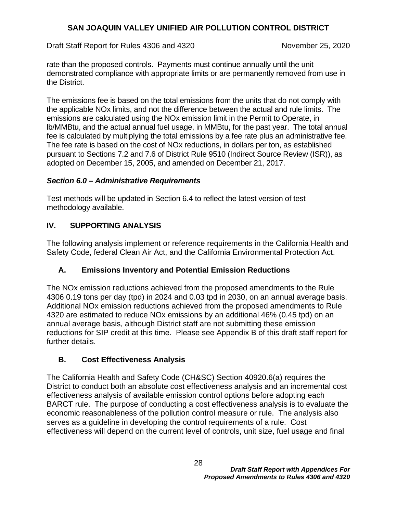Draft Staff Report for Rules 4306 and 4320 November 25, 2020

rate than the proposed controls. Payments must continue annually until the unit demonstrated compliance with appropriate limits or are permanently removed from use in the District.

The emissions fee is based on the total emissions from the units that do not comply with the applicable NOx limits, and not the difference between the actual and rule limits. The emissions are calculated using the NOx emission limit in the Permit to Operate, in lb/MMBtu, and the actual annual fuel usage, in MMBtu, for the past year. The total annual fee is calculated by multiplying the total emissions by a fee rate plus an administrative fee. The fee rate is based on the cost of NOx reductions, in dollars per ton, as established pursuant to Sections 7.2 and 7.6 of District Rule 9510 (Indirect Source Review (ISR)), as adopted on December 15, 2005, and amended on December 21, 2017.

#### *Section 6.0 – Administrative Requirements*

Test methods will be updated in Section 6.4 to reflect the latest version of test methodology available.

# **IV. SUPPORTING ANALYSIS**

The following analysis implement or reference requirements in the California Health and Safety Code, federal Clean Air Act, and the California Environmental Protection Act.

# **A. Emissions Inventory and Potential Emission Reductions**

The NOx emission reductions achieved from the proposed amendments to the Rule 4306 0.19 tons per day (tpd) in 2024 and 0.03 tpd in 2030, on an annual average basis. Additional NOx emission reductions achieved from the proposed amendments to Rule 4320 are estimated to reduce NOx emissions by an additional 46% (0.45 tpd) on an annual average basis, although District staff are not submitting these emission reductions for SIP credit at this time. Please see Appendix B of this draft staff report for further details.

# **B. Cost Effectiveness Analysis**

The California Health and Safety Code (CH&SC) Section 40920.6(a) requires the District to conduct both an absolute cost effectiveness analysis and an incremental cost effectiveness analysis of available emission control options before adopting each BARCT rule. The purpose of conducting a cost effectiveness analysis is to evaluate the economic reasonableness of the pollution control measure or rule. The analysis also serves as a guideline in developing the control requirements of a rule. Cost effectiveness will depend on the current level of controls, unit size, fuel usage and final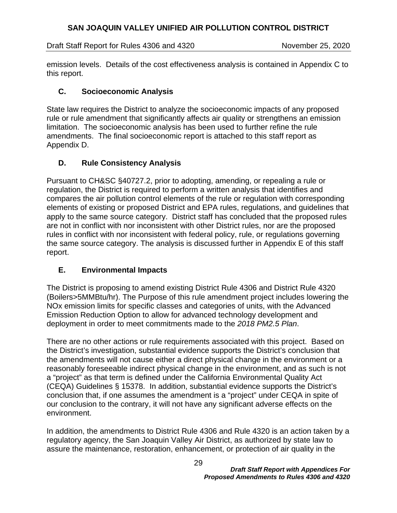Draft Staff Report for Rules 4306 and 4320 November 25, 2020

emission levels. Details of the cost effectiveness analysis is contained in Appendix C to this report.

## **C. Socioeconomic Analysis**

State law requires the District to analyze the socioeconomic impacts of any proposed rule or rule amendment that significantly affects air quality or strengthens an emission limitation. The socioeconomic analysis has been used to further refine the rule amendments. The final socioeconomic report is attached to this staff report as Appendix D.

## **D. Rule Consistency Analysis**

Pursuant to CH&SC §40727.2, prior to adopting, amending, or repealing a rule or regulation, the District is required to perform a written analysis that identifies and compares the air pollution control elements of the rule or regulation with corresponding elements of existing or proposed District and EPA rules, regulations, and guidelines that apply to the same source category. District staff has concluded that the proposed rules are not in conflict with nor inconsistent with other District rules, nor are the proposed rules in conflict with nor inconsistent with federal policy, rule, or regulations governing the same source category. The analysis is discussed further in Appendix E of this staff report.

#### **E. Environmental Impacts**

The District is proposing to amend existing District Rule 4306 and District Rule 4320 (Boilers>5MMBtu/hr). The Purpose of this rule amendment project includes lowering the NOx emission limits for specific classes and categories of units, with the Advanced Emission Reduction Option to allow for advanced technology development and deployment in order to meet commitments made to the *2018 PM2.5 Plan*.

There are no other actions or rule requirements associated with this project. Based on the District's investigation, substantial evidence supports the District's conclusion that the amendments will not cause either a direct physical change in the environment or a reasonably foreseeable indirect physical change in the environment, and as such is not a "project" as that term is defined under the California Environmental Quality Act (CEQA) Guidelines § 15378. In addition, substantial evidence supports the District's conclusion that, if one assumes the amendment is a "project" under CEQA in spite of our conclusion to the contrary, it will not have any significant adverse effects on the environment.

In addition, the amendments to District Rule 4306 and Rule 4320 is an action taken by a regulatory agency, the San Joaquin Valley Air District, as authorized by state law to assure the maintenance, restoration, enhancement, or protection of air quality in the